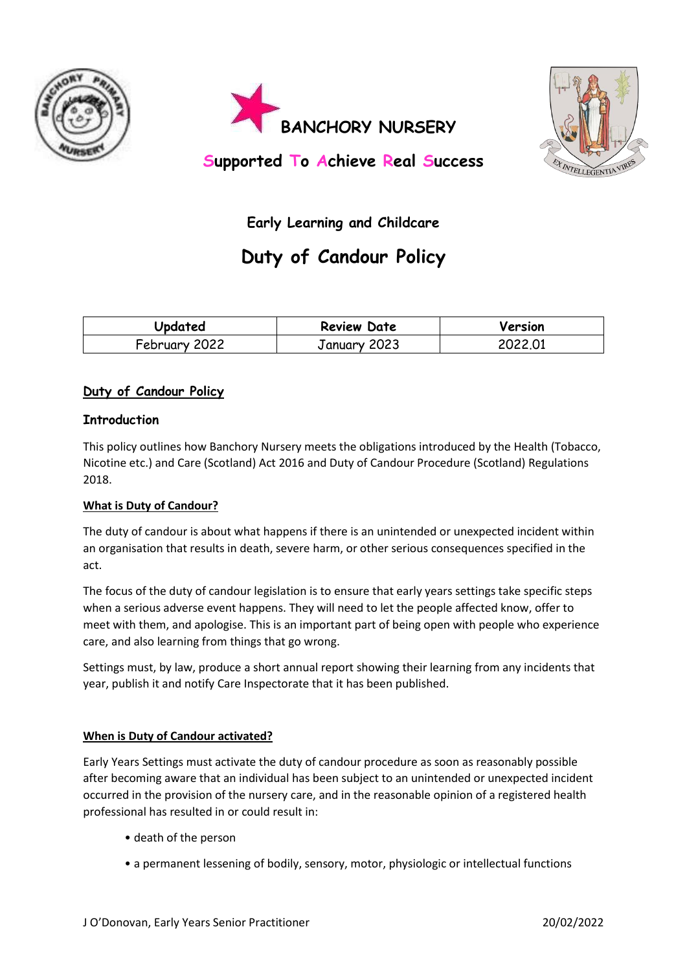





**Supported To Achieve Real Success**

## **Early Learning and Childcare**

# **Duty of Candour Policy**

| Updated       | <b>Review Date</b> | Version |
|---------------|--------------------|---------|
| February 2022 | January 2023       | 2022.01 |

### **Duty of Candour Policy**

#### **Introduction**

This policy outlines how Banchory Nursery meets the obligations introduced by the Health (Tobacco, Nicotine etc.) and Care (Scotland) Act 2016 and Duty of Candour Procedure (Scotland) Regulations 2018.

#### **What is Duty of Candour?**

The duty of candour is about what happens if there is an unintended or unexpected incident within an organisation that results in death, severe harm, or other serious consequences specified in the act.

The focus of the duty of candour legislation is to ensure that early years settings take specific steps when a serious adverse event happens. They will need to let the people affected know, offer to meet with them, and apologise. This is an important part of being open with people who experience care, and also learning from things that go wrong.

Settings must, by law, produce a short annual report showing their learning from any incidents that year, publish it and notify Care Inspectorate that it has been published.

#### **When is Duty of Candour activated?**

Early Years Settings must activate the duty of candour procedure as soon as reasonably possible after becoming aware that an individual has been subject to an unintended or unexpected incident occurred in the provision of the nursery care, and in the reasonable opinion of a registered health professional has resulted in or could result in:

- death of the person
- a permanent lessening of bodily, sensory, motor, physiologic or intellectual functions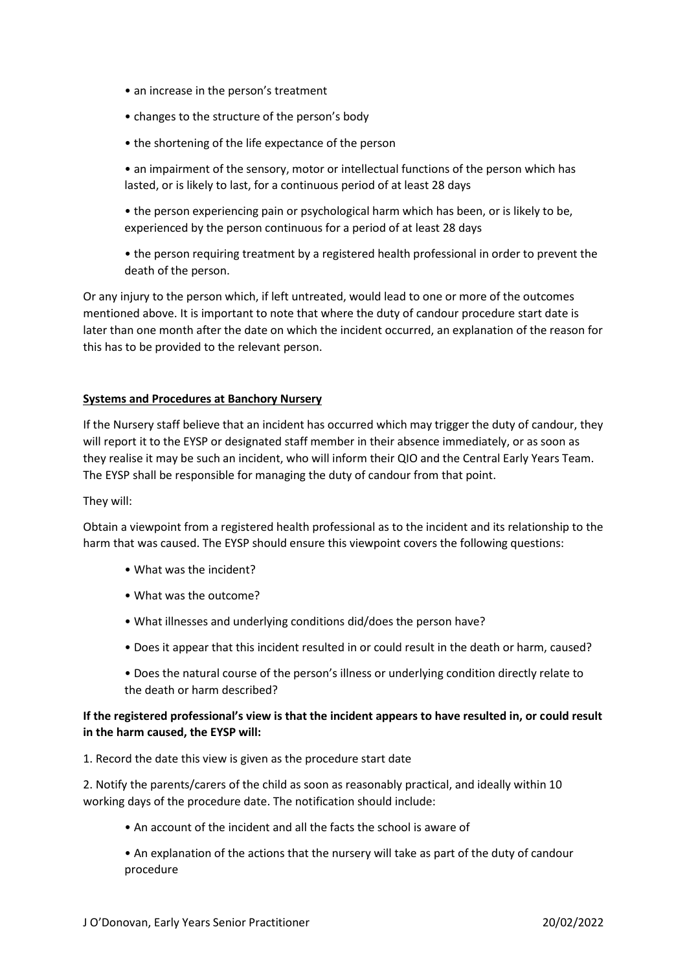- an increase in the person's treatment
- changes to the structure of the person's body
- the shortening of the life expectance of the person
- an impairment of the sensory, motor or intellectual functions of the person which has lasted, or is likely to last, for a continuous period of at least 28 days
- the person experiencing pain or psychological harm which has been, or is likely to be, experienced by the person continuous for a period of at least 28 days
- the person requiring treatment by a registered health professional in order to prevent the death of the person.

Or any injury to the person which, if left untreated, would lead to one or more of the outcomes mentioned above. It is important to note that where the duty of candour procedure start date is later than one month after the date on which the incident occurred, an explanation of the reason for this has to be provided to the relevant person.

#### **Systems and Procedures at Banchory Nursery**

If the Nursery staff believe that an incident has occurred which may trigger the duty of candour, they will report it to the EYSP or designated staff member in their absence immediately, or as soon as they realise it may be such an incident, who will inform their QIO and the Central Early Years Team. The EYSP shall be responsible for managing the duty of candour from that point.

#### They will:

Obtain a viewpoint from a registered health professional as to the incident and its relationship to the harm that was caused. The EYSP should ensure this viewpoint covers the following questions:

- What was the incident?
- What was the outcome?
- What illnesses and underlying conditions did/does the person have?
- Does it appear that this incident resulted in or could result in the death or harm, caused?
- Does the natural course of the person's illness or underlying condition directly relate to the death or harm described?

#### **If the registered professional's view is that the incident appears to have resulted in, or could result in the harm caused, the EYSP will:**

1. Record the date this view is given as the procedure start date

2. Notify the parents/carers of the child as soon as reasonably practical, and ideally within 10 working days of the procedure date. The notification should include:

- An account of the incident and all the facts the school is aware of
- An explanation of the actions that the nursery will take as part of the duty of candour procedure